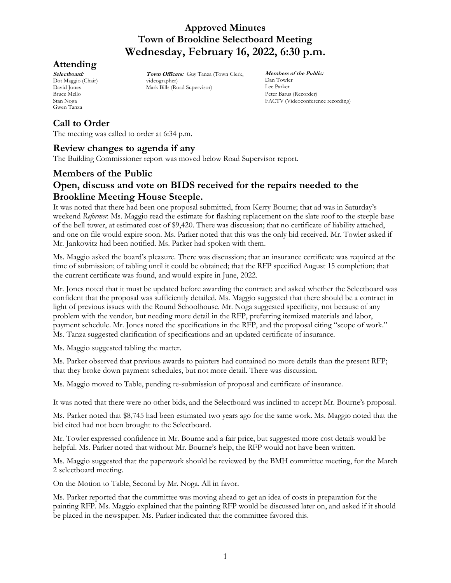# **Attending**

**Selectboard:** Dot Maggio (Chair) David Jones Bruce Mello Stan Noga Gwen Tanza

**Town Officers:** Guy Tanza (Town Clerk, videographer) Mark Bills (Road Supervisor)

**Members of the Public:** Dan Towler Lee Parker Peter Barus (Recorder) FACTV (Videoconference recording)

# **Call to Order**

The meeting was called to order at 6:34 p.m.

### **Review changes to agenda if any**

The Building Commissioner report was moved below Road Supervisor report.

# **Members of the Public Open, discuss and vote on BIDS received for the repairs needed to the Brookline Meeting House Steeple.**

It was noted that there had been one proposal submitted, from Kerry Bourne; that ad was in Saturday's weekend *Reformer.* Ms. Maggio read the estimate for flashing replacement on the slate roof to the steeple base of the bell tower, at estimated cost of \$9,420. There was discussion; that no certificate of liability attached, and one on file would expire soon. Ms. Parker noted that this was the only bid received. Mr. Towler asked if Mr. Jankowitz had been notified. Ms. Parker had spoken with them.

Ms. Maggio asked the board's pleasure. There was discussion; that an insurance certificate was required at the time of submission; of tabling until it could be obtained; that the RFP specified August 15 completion; that the current certificate was found, and would expire in June, 2022.

Mr. Jones noted that it must be updated before awarding the contract; and asked whether the Selectboard was confident that the proposal was sufficiently detailed. Ms. Maggio suggested that there should be a contract in light of previous issues with the Round Schoolhouse. Mr. Noga suggested specificity, not because of any problem with the vendor, but needing more detail in the RFP, preferring itemized materials and labor, payment schedule. Mr. Jones noted the specifications in the RFP, and the proposal citing "scope of work." Ms. Tanza suggested clarification of specifications and an updated certificate of insurance.

Ms. Maggio suggested tabling the matter.

Ms. Parker observed that previous awards to painters had contained no more details than the present RFP; that they broke down payment schedules, but not more detail. There was discussion.

Ms. Maggio moved to Table, pending re-submission of proposal and certificate of insurance.

It was noted that there were no other bids, and the Selectboard was inclined to accept Mr. Bourne's proposal.

Ms. Parker noted that \$8,745 had been estimated two years ago for the same work. Ms. Maggio noted that the bid cited had not been brought to the Selectboard.

Mr. Towler expressed confidence in Mr. Bourne and a fair price, but suggested more cost details would be helpful. Ms. Parker noted that without Mr. Bourne's help, the RFP would not have been written.

Ms. Maggio suggested that the paperwork should be reviewed by the BMH committee meeting, for the March 2 selectboard meeting.

On the Motion to Table, Second by Mr. Noga. All in favor.

Ms. Parker reported that the committee was moving ahead to get an idea of costs in preparation for the painting RFP. Ms. Maggio explained that the painting RFP would be discussed later on, and asked if it should be placed in the newspaper. Ms. Parker indicated that the committee favored this.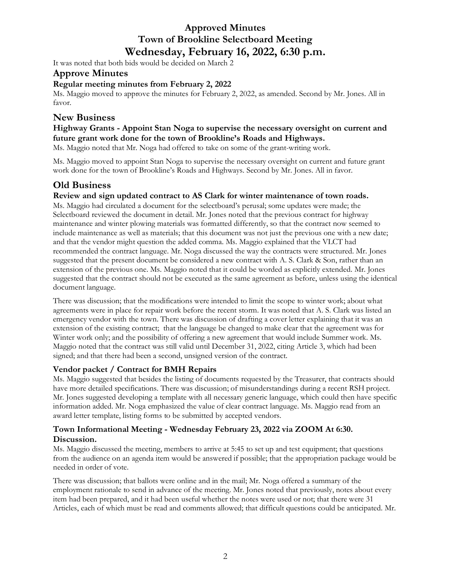It was noted that both bids would be decided on March 2

### **Approve Minutes**

### **Regular meeting minutes from February 2, 2022**

Ms. Maggio moved to approve the minutes for February 2, 2022, as amended. Second by Mr. Jones. All in favor.

### **New Business**

### **Highway Grants - Appoint Stan Noga to supervise the necessary oversight on current and future grant work done for the town of Brookline's Roads and Highways.**

Ms. Maggio noted that Mr. Noga had offered to take on some of the grant-writing work.

Ms. Maggio moved to appoint Stan Noga to supervise the necessary oversight on current and future grant work done for the town of Brookline's Roads and Highways. Second by Mr. Jones. All in favor.

### **Old Business**

#### **Review and sign updated contract to AS Clark for winter maintenance of town roads.**

Ms. Maggio had circulated a document for the selectboard's perusal; some updates were made; the Selectboard reviewed the document in detail. Mr. Jones noted that the previous contract for highway maintenance and winter plowing materials was formatted differently, so that the contract now seemed to include maintenance as well as materials; that this document was not just the previous one with a new date; and that the vendor might question the added comma. Ms. Maggio explained that the VLCT had recommended the contract language. Mr. Noga discussed the way the contracts were structured. Mr. Jones suggested that the present document be considered a new contract with A. S. Clark & Son, rather than an extension of the previous one. Ms. Maggio noted that it could be worded as explicitly extended. Mr. Jones suggested that the contract should not be executed as the same agreement as before, unless using the identical document language.

There was discussion; that the modifications were intended to limit the scope to winter work; about what agreements were in place for repair work before the recent storm. It was noted that A. S. Clark was listed an emergency vendor with the town. There was discussion of drafting a cover letter explaining that it was an extension of the existing contract; that the language be changed to make clear that the agreement was for Winter work only; and the possibility of offering a new agreement that would include Summer work. Ms. Maggio noted that the contract was still valid until December 31, 2022, citing Article 3, which had been signed; and that there had been a second, unsigned version of the contract.

### **Vendor packet / Contract for BMH Repairs**

Ms. Maggio suggested that besides the listing of documents requested by the Treasurer, that contracts should have more detailed specifications. There was discussion; of misunderstandings during a recent RSH project. Mr. Jones suggested developing a template with all necessary generic language, which could then have specific information added. Mr. Noga emphasized the value of clear contract language. Ms. Maggio read from an award letter template, listing forms to be submitted by accepted vendors.

#### **Town Informational Meeting - Wednesday February 23, 2022 via ZOOM At 6:30. Discussion.**

Ms. Maggio discussed the meeting, members to arrive at 5:45 to set up and test equipment; that questions from the audience on an agenda item would be answered if possible; that the appropriation package would be needed in order of vote.

There was discussion; that ballots were online and in the mail; Mr. Noga offered a summary of the employment rationale to send in advance of the meeting. Mr. Jones noted that previously, notes about every item had been prepared, and it had been useful whether the notes were used or not; that there were 31 Articles, each of which must be read and comments allowed; that difficult questions could be anticipated. Mr.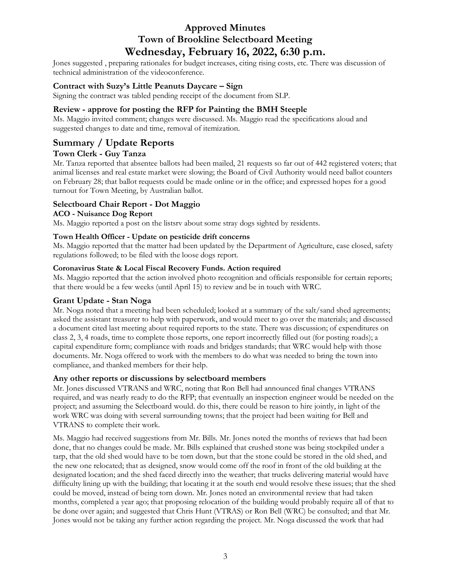Jones suggested , preparing rationales for budget increases, citing rising costs, etc. There was discussion of technical administration of the videoconference.

### **Contract with Suzy's Little Peanuts Daycare – Sign**

Signing the contract was tabled pending receipt of the document from SLP.

### **Review - approve for posting the RFP for Painting the BMH Steeple**

Ms. Maggio invited comment; changes were discussed. Ms. Maggio read the specifications aloud and suggested changes to date and time, removal of itemization.

# **Summary / Update Reports**

### **Town Clerk - Guy Tanza**

Mr. Tanza reported that absentee ballots had been mailed, 21 requests so far out of 442 registered voters; that animal licenses and real estate market were slowing; the Board of Civil Authority would need ballot counters on February 28; that ballot requests could be made online or in the office; and expressed hopes for a good turnout for Town Meeting, by Australian ballot.

### **Selectboard Chair Report - Dot Maggio**

#### **ACO - Nuisance Dog Report**

Ms. Maggio reported a post on the listsrv about some stray dogs sighted by residents.

#### **Town Health Officer - Update on pesticide drift concerns**

Ms. Maggio reported that the matter had been updated by the Department of Agriculture, case closed, safety regulations followed; to be filed with the loose dogs report.

#### **Coronavirus State & Local Fiscal Recovery Funds. Action required**

Ms. Maggio reported that the action involved photo recognition and officials responsible for certain reports; that there would be a few weeks (until April 15) to review and be in touch with WRC.

### **Grant Update - Stan Noga**

Mr. Noga noted that a meeting had been scheduled; looked at a summary of the salt/sand shed agreements; asked the assistant treasurer to help with paperwork, and would meet to go over the materials; and discussed a document cited last meeting about required reports to the state. There was discussion; of expenditures on class 2, 3, 4 roads, time to complete those reports, one report incorrectly filled out (for posting roads); a capital expenditure form; compliance with roads and bridges standards; that WRC would help with those documents. Mr. Noga offered to work with the members to do what was needed to bring the town into compliance, and thanked members for their help.

#### **Any other reports or discussions by selectboard members**

Mr. Jones discussed VTRANS and WRC, noting that Ron Bell had announced final changes VTRANS required, and was nearly ready to do the RFP; that eventually an inspection engineer would be needed on the project; and assuming the Selectboard would. do this, there could be reason to hire jointly, in light of the work WRC was doing with several surrounding towns; that the project had been waiting for Bell and VTRANS to complete their work.

Ms. Maggio had received suggestions from Mr. Bills. Mr. Jones noted the months of reviews that had been done, that no changes could be made. Mr. Bills explained that crushed stone was being stockpiled under a tarp, that the old shed would have to be torn down, but that the stone could be stored in the old shed, and the new one relocated; that as designed, snow would come off the roof in front of the old building at the designated location; and the shed faced directly into the weather; that trucks delivering material would have difficulty lining up with the building; that locating it at the south end would resolve these issues; that the shed could be moved, instead of being torn down. Mr. Jones noted an environmental review that had taken months, completed a year ago; that proposing relocation of the building would probably require all of that to be done over again; and suggested that Chris Hunt (VTRAS) or Ron Bell (WRC) be consulted; and that Mr. Jones would not be taking any further action regarding the project. Mr. Noga discussed the work that had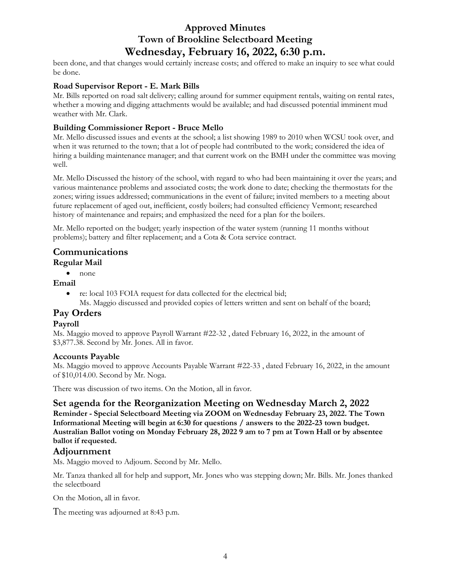been done, and that changes would certainly increase costs; and offered to make an inquiry to see what could be done.

### **Road Supervisor Report - E. Mark Bills**

Mr. Bills reported on road salt delivery; calling around for summer equipment rentals, waiting on rental rates, whether a mowing and digging attachments would be available; and had discussed potential imminent mud weather with Mr. Clark.

### **Building Commissioner Report - Bruce Mello**

Mr. Mello discussed issues and events at the school; a list showing 1989 to 2010 when WCSU took over, and when it was returned to the town; that a lot of people had contributed to the work; considered the idea of hiring a building maintenance manager; and that current work on the BMH under the committee was moving well.

Mr. Mello Discussed the history of the school, with regard to who had been maintaining it over the years; and various maintenance problems and associated costs; the work done to date; checking the thermostats for the zones; wiring issues addressed; communications in the event of failure; invited members to a meeting about future replacement of aged out, inefficient, costly boilers; had consulted efficiency Vermont; researched history of maintenance and repairs; and emphasized the need for a plan for the boilers.

Mr. Mello reported on the budget; yearly inspection of the water system (running 11 months without problems); battery and filter replacement; and a Cota & Cota service contract.

### **Communications**

### **Regular Mail**

• none

#### **Email**

• re: local 103 FOIA request for data collected for the electrical bid; Ms. Maggio discussed and provided copies of letters written and sent on behalf of the board;

# **Pay Orders**

#### **Payroll**

Ms. Maggio moved to approve Payroll Warrant #22-32 , dated February 16, 2022, in the amount of \$3,877.38. Second by Mr. Jones. All in favor.

#### **Accounts Payable**

Ms. Maggio moved to approve Accounts Payable Warrant #22-33 , dated February 16, 2022, in the amount of \$10,014.00. Second by Mr. Noga.

There was discussion of two items. On the Motion, all in favor.

**Set agenda for the Reorganization Meeting on Wednesday March 2, 2022**

**Reminder - Special Selectboard Meeting via ZOOM on Wednesday February 23, 2022. The Town Informational Meeting will begin at 6:30 for questions / answers to the 2022-23 town budget. Australian Ballot voting on Monday February 28, 2022 9 am to 7 pm at Town Hall or by absentee ballot if requested.**

### **Adjournment**

Ms. Maggio moved to Adjourn. Second by Mr. Mello.

Mr. Tanza thanked all for help and support, Mr. Jones who was stepping down; Mr. Bills. Mr. Jones thanked the selectboard

On the Motion, all in favor.

The meeting was adjourned at 8:43 p.m.